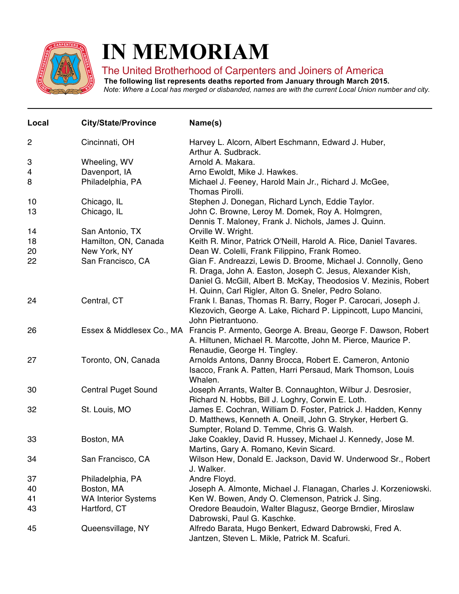

## **IN MEMORIAM**

## The United Brotherhood of Carpenters and Joiners of America

**The following list represents deaths reported from January through March 2015.**

Note: Where a Local has merged or disbanded, names are with the current Local Union number and city.

| Local          | <b>City/State/Province</b>           | Name(s)                                                                                                                                                                                                                                                  |
|----------------|--------------------------------------|----------------------------------------------------------------------------------------------------------------------------------------------------------------------------------------------------------------------------------------------------------|
| $\overline{2}$ | Cincinnati, OH                       | Harvey L. Alcorn, Albert Eschmann, Edward J. Huber,<br>Arthur A. Sudbrack.                                                                                                                                                                               |
| 3              | Wheeling, WV                         | Arnold A. Makara.                                                                                                                                                                                                                                        |
| 4              | Davenport, IA                        | Arno Ewoldt, Mike J. Hawkes.                                                                                                                                                                                                                             |
| 8              | Philadelphia, PA                     | Michael J. Feeney, Harold Main Jr., Richard J. McGee,<br>Thomas Pirolli.                                                                                                                                                                                 |
| 10             | Chicago, IL                          | Stephen J. Donegan, Richard Lynch, Eddie Taylor.                                                                                                                                                                                                         |
| 13             | Chicago, IL                          | John C. Browne, Leroy M. Domek, Roy A. Holmgren,<br>Dennis T. Maloney, Frank J. Nichols, James J. Quinn.                                                                                                                                                 |
| 14             | San Antonio, TX                      | Orville W. Wright.                                                                                                                                                                                                                                       |
| 18<br>20       | Hamilton, ON, Canada<br>New York, NY | Keith R. Minor, Patrick O'Neill, Harold A. Rice, Daniel Tavares.<br>Dean W. Colelli, Frank Filippino, Frank Romeo.                                                                                                                                       |
| 22             | San Francisco, CA                    | Gian F. Andreazzi, Lewis D. Broome, Michael J. Connolly, Geno<br>R. Draga, John A. Easton, Joseph C. Jesus, Alexander Kish,<br>Daniel G. McGill, Albert B. McKay, Theodosios V. Mezinis, Robert<br>H. Quinn, Carl Rigler, Alton G. Sneler, Pedro Solano. |
| 24             | Central, CT                          | Frank I. Banas, Thomas R. Barry, Roger P. Carocari, Joseph J.<br>Klezovich, George A. Lake, Richard P. Lippincott, Lupo Mancini,<br>John Pietrantuono.                                                                                                   |
| 26             | Essex & Middlesex Co., MA            | Francis P. Armento, George A. Breau, George F. Dawson, Robert<br>A. Hiltunen, Michael R. Marcotte, John M. Pierce, Maurice P.<br>Renaudie, George H. Tingley.                                                                                            |
| 27             | Toronto, ON, Canada                  | Arnolds Antons, Danny Brocca, Robert E. Cameron, Antonio<br>Isacco, Frank A. Patten, Harri Persaud, Mark Thomson, Louis<br>Whalen.                                                                                                                       |
| 30             | <b>Central Puget Sound</b>           | Joseph Arrants, Walter B. Connaughton, Wilbur J. Desrosier,<br>Richard N. Hobbs, Bill J. Loghry, Corwin E. Loth.                                                                                                                                         |
| 32             | St. Louis, MO                        | James E. Cochran, William D. Foster, Patrick J. Hadden, Kenny<br>D. Matthews, Kenneth A. Oneill, John G. Stryker, Herbert G.<br>Sumpter, Roland D. Temme, Chris G. Walsh.                                                                                |
| 33             | Boston, MA                           | Jake Coakley, David R. Hussey, Michael J. Kennedy, Jose M.<br>Martins, Gary A. Romano, Kevin Sicard.                                                                                                                                                     |
| 34             | San Francisco, CA                    | Wilson Hew, Donald E. Jackson, David W. Underwood Sr., Robert<br>J. Walker.                                                                                                                                                                              |
| 37             | Philadelphia, PA                     | Andre Floyd.                                                                                                                                                                                                                                             |
| 40             | Boston, MA                           | Joseph A. Almonte, Michael J. Flanagan, Charles J. Korzeniowski.                                                                                                                                                                                         |
| 41             | <b>WA Interior Systems</b>           | Ken W. Bowen, Andy O. Clemenson, Patrick J. Sing.                                                                                                                                                                                                        |
| 43             | Hartford, CT                         | Oredore Beaudoin, Walter Blagusz, George Brndier, Miroslaw<br>Dabrowski, Paul G. Kaschke.                                                                                                                                                                |
| 45             | Queensvillage, NY                    | Alfredo Barata, Hugo Benkert, Edward Dabrowski, Fred A.<br>Jantzen, Steven L. Mikle, Patrick M. Scafuri.                                                                                                                                                 |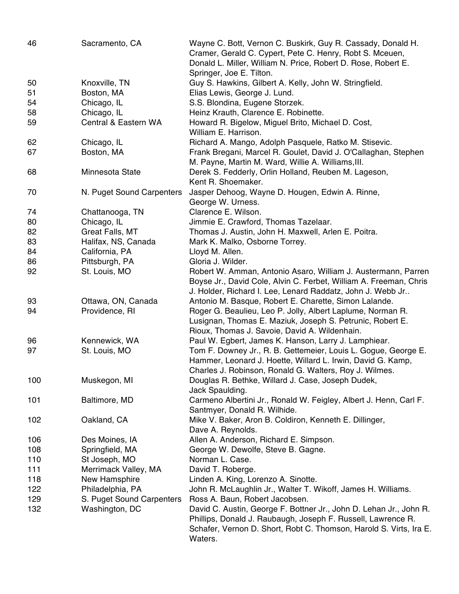| 46  | Sacramento, CA            | Wayne C. Bott, Vernon C. Buskirk, Guy R. Cassady, Donald H.<br>Cramer, Gerald C. Cypert, Pete C. Henry, Robt S. Mceuen,<br>Donald L. Miller, William N. Price, Robert D. Rose, Robert E. |
|-----|---------------------------|------------------------------------------------------------------------------------------------------------------------------------------------------------------------------------------|
|     |                           | Springer, Joe E. Tilton.                                                                                                                                                                 |
| 50  | Knoxville, TN             | Guy S. Hawkins, Gilbert A. Kelly, John W. Stringfield.                                                                                                                                   |
| 51  | Boston, MA                | Elias Lewis, George J. Lund.                                                                                                                                                             |
| 54  | Chicago, IL               | S.S. Blondina, Eugene Storzek.                                                                                                                                                           |
| 58  | Chicago, IL               | Heinz Krauth, Clarence E. Robinette.                                                                                                                                                     |
| 59  | Central & Eastern WA      | Howard R. Bigelow, Miguel Brito, Michael D. Cost,                                                                                                                                        |
|     |                           | William E. Harrison.                                                                                                                                                                     |
| 62  | Chicago, IL               | Richard A. Mango, Adolph Pasquele, Ratko M. Stisevic.                                                                                                                                    |
| 67  | Boston, MA                | Frank Bregani, Marcel R. Goulet, David J. O'Callaghan, Stephen                                                                                                                           |
|     |                           | M. Payne, Martin M. Ward, Willie A. Williams, III.                                                                                                                                       |
| 68  | Minnesota State           | Derek S. Fedderly, Orlin Holland, Reuben M. Lageson,                                                                                                                                     |
|     |                           | Kent R. Shoemaker.                                                                                                                                                                       |
| 70  | N. Puget Sound Carpenters | Jasper Dehoog, Wayne D. Hougen, Edwin A. Rinne,                                                                                                                                          |
|     |                           | George W. Urness.                                                                                                                                                                        |
| 74  | Chattanooga, TN           | Clarence E. Wilson.                                                                                                                                                                      |
| 80  | Chicago, IL               | Jimmie E. Crawford, Thomas Tazelaar.                                                                                                                                                     |
| 82  | Great Falls, MT           | Thomas J. Austin, John H. Maxwell, Arlen E. Poitra.                                                                                                                                      |
| 83  | Halifax, NS, Canada       | Mark K. Malko, Osborne Torrey.                                                                                                                                                           |
| 84  | California, PA            | Lloyd M. Allen.                                                                                                                                                                          |
| 86  | Pittsburgh, PA            | Gloria J. Wilder.                                                                                                                                                                        |
| 92  | St. Louis, MO             | Robert W. Amman, Antonio Asaro, William J. Austermann, Parren                                                                                                                            |
|     |                           | Boyse Jr., David Cole, Alvin C. Ferbet, William A. Freeman, Chris<br>J. Holder, Richard I. Lee, Lenard Raddatz, John J. Webb Jr                                                          |
| 93  | Ottawa, ON, Canada        | Antonio M. Basque, Robert E. Charette, Simon Lalande.                                                                                                                                    |
| 94  | Providence, RI            | Roger G. Beaulieu, Leo P. Jolly, Albert Laplume, Norman R.                                                                                                                               |
|     |                           | Lusignan, Thomas E. Maziuk, Joseph S. Petrunic, Robert E.                                                                                                                                |
|     |                           | Rioux, Thomas J. Savoie, David A. Wildenhain.                                                                                                                                            |
| 96  | Kennewick, WA             | Paul W. Egbert, James K. Hanson, Larry J. Lamphiear.                                                                                                                                     |
| 97  | St. Louis, MO             | Tom F. Downey Jr., R. B. Gettemeier, Louis L. Gogue, George E.                                                                                                                           |
|     |                           | Hammer, Leonard J. Hoette, Willard L. Irwin, David G. Kamp,                                                                                                                              |
|     |                           | Charles J. Robinson, Ronald G. Walters, Roy J. Wilmes.                                                                                                                                   |
| 100 | Muskegon, MI              | Douglas R. Bethke, Willard J. Case, Joseph Dudek,                                                                                                                                        |
|     |                           | Jack Spaulding.                                                                                                                                                                          |
| 101 | Baltimore, MD             | Carmeno Albertini Jr., Ronald W. Feigley, Albert J. Henn, Carl F.                                                                                                                        |
|     |                           | Santmyer, Donald R. Wilhide.                                                                                                                                                             |
| 102 | Oakland, CA               | Mike V. Baker, Aron B. Coldiron, Kenneth E. Dillinger,                                                                                                                                   |
|     |                           | Dave A. Reynolds.                                                                                                                                                                        |
| 106 | Des Moines, IA            | Allen A. Anderson, Richard E. Simpson.                                                                                                                                                   |
| 108 | Springfield, MA           | George W. Dewolfe, Steve B. Gagne.                                                                                                                                                       |
| 110 | St Joseph, MO             | Norman L. Case.                                                                                                                                                                          |
| 111 | Merrimack Valley, MA      | David T. Roberge.                                                                                                                                                                        |
| 118 | New Hamsphire             | Linden A. King, Lorenzo A. Sinotte.                                                                                                                                                      |
| 122 | Philadelphia, PA          | John R. McLaughlin Jr., Walter T. Wikoff, James H. Williams.                                                                                                                             |
| 129 | S. Puget Sound Carpenters | Ross A. Baun, Robert Jacobsen.                                                                                                                                                           |
| 132 | Washington, DC            | David C. Austin, George F. Bottner Jr., John D. Lehan Jr., John R.                                                                                                                       |
|     |                           | Phillips, Donald J. Raubaugh, Joseph F. Russell, Lawrence R.                                                                                                                             |
|     |                           | Schafer, Vernon D. Short, Robt C. Thomson, Harold S. Virts, Ira E.<br>Waters.                                                                                                            |
|     |                           |                                                                                                                                                                                          |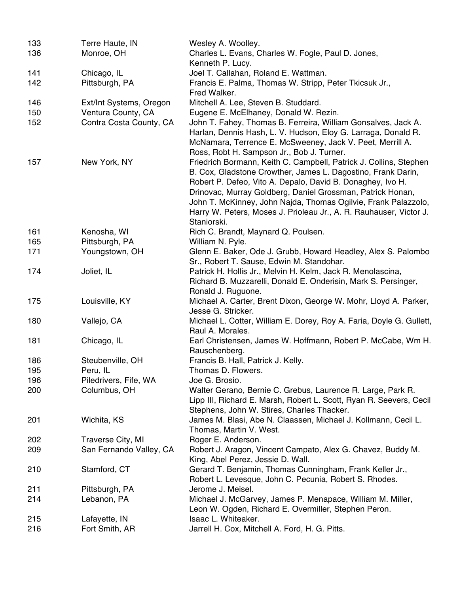| 133 | Terre Haute, IN         | Wesley A. Woolley.                                                                                                                                                                                                                                                                                                                                                                                                   |
|-----|-------------------------|----------------------------------------------------------------------------------------------------------------------------------------------------------------------------------------------------------------------------------------------------------------------------------------------------------------------------------------------------------------------------------------------------------------------|
| 136 | Monroe, OH              | Charles L. Evans, Charles W. Fogle, Paul D. Jones,                                                                                                                                                                                                                                                                                                                                                                   |
|     |                         | Kenneth P. Lucy.                                                                                                                                                                                                                                                                                                                                                                                                     |
| 141 | Chicago, IL             | Joel T. Callahan, Roland E. Wattman.                                                                                                                                                                                                                                                                                                                                                                                 |
| 142 | Pittsburgh, PA          | Francis E. Palma, Thomas W. Stripp, Peter Tkicsuk Jr.,                                                                                                                                                                                                                                                                                                                                                               |
|     |                         | Fred Walker.                                                                                                                                                                                                                                                                                                                                                                                                         |
| 146 | Ext/Int Systems, Oregon | Mitchell A. Lee, Steven B. Studdard.                                                                                                                                                                                                                                                                                                                                                                                 |
| 150 | Ventura County, CA      | Eugene E. McElhaney, Donald W. Rezin.                                                                                                                                                                                                                                                                                                                                                                                |
| 152 | Contra Costa County, CA | John T. Fahey, Thomas B. Ferreira, William Gonsalves, Jack A.<br>Harlan, Dennis Hash, L. V. Hudson, Eloy G. Larraga, Donald R.<br>McNamara, Terrence E. McSweeney, Jack V. Peet, Merrill A.<br>Ross, Robt H. Sampson Jr., Bob J. Turner.                                                                                                                                                                             |
| 157 | New York, NY            | Friedrich Bormann, Keith C. Campbell, Patrick J. Collins, Stephen<br>B. Cox, Gladstone Crowther, James L. Dagostino, Frank Darin,<br>Robert P. Defeo, Vito A. Depalo, David B. Donaghey, Ivo H.<br>Drinovac, Murray Goldberg, Daniel Grossman, Patrick Honan,<br>John T. McKinney, John Najda, Thomas Ogilvie, Frank Palazzolo,<br>Harry W. Peters, Moses J. Prioleau Jr., A. R. Rauhauser, Victor J.<br>Staniorski. |
| 161 | Kenosha, WI             | Rich C. Brandt, Maynard Q. Poulsen.                                                                                                                                                                                                                                                                                                                                                                                  |
| 165 | Pittsburgh, PA          | William N. Pyle.                                                                                                                                                                                                                                                                                                                                                                                                     |
| 171 | Youngstown, OH          | Glenn E. Baker, Ode J. Grubb, Howard Headley, Alex S. Palombo<br>Sr., Robert T. Sause, Edwin M. Standohar.                                                                                                                                                                                                                                                                                                           |
| 174 | Joliet, IL              | Patrick H. Hollis Jr., Melvin H. Kelm, Jack R. Menolascina,<br>Richard B. Muzzarelli, Donald E. Onderisin, Mark S. Persinger,<br>Ronald J. Ruguone.                                                                                                                                                                                                                                                                  |
| 175 | Louisville, KY          | Michael A. Carter, Brent Dixon, George W. Mohr, Lloyd A. Parker,<br>Jesse G. Stricker.                                                                                                                                                                                                                                                                                                                               |
| 180 | Vallejo, CA             | Michael L. Cotter, William E. Dorey, Roy A. Faria, Doyle G. Gullett,<br>Raul A. Morales.                                                                                                                                                                                                                                                                                                                             |
| 181 | Chicago, IL             | Earl Christensen, James W. Hoffmann, Robert P. McCabe, Wm H.<br>Rauschenberg.                                                                                                                                                                                                                                                                                                                                        |
| 186 | Steubenville, OH        | Francis B. Hall, Patrick J. Kelly.                                                                                                                                                                                                                                                                                                                                                                                   |
| 195 | Peru, IL                | Thomas D. Flowers.                                                                                                                                                                                                                                                                                                                                                                                                   |
| 196 | Piledrivers, Fife, WA   | Joe G. Brosio.                                                                                                                                                                                                                                                                                                                                                                                                       |
| 200 | Columbus, OH            | Walter Gerano, Bernie C. Grebus, Laurence R. Large, Park R.<br>Lipp III, Richard E. Marsh, Robert L. Scott, Ryan R. Seevers, Cecil<br>Stephens, John W. Stires, Charles Thacker.                                                                                                                                                                                                                                     |
| 201 | Wichita, KS             | James M. Blasi, Abe N. Claassen, Michael J. Kollmann, Cecil L.<br>Thomas, Martin V. West.                                                                                                                                                                                                                                                                                                                            |
| 202 | Traverse City, MI       | Roger E. Anderson.                                                                                                                                                                                                                                                                                                                                                                                                   |
| 209 | San Fernando Valley, CA | Robert J. Aragon, Vincent Campato, Alex G. Chavez, Buddy M.<br>King, Abel Perez, Jessie D. Wall.                                                                                                                                                                                                                                                                                                                     |
| 210 | Stamford, CT            | Gerard T. Benjamin, Thomas Cunningham, Frank Keller Jr.,<br>Robert L. Levesque, John C. Pecunia, Robert S. Rhodes.                                                                                                                                                                                                                                                                                                   |
| 211 | Pittsburgh, PA          | Jerome J. Meisel.                                                                                                                                                                                                                                                                                                                                                                                                    |
| 214 | Lebanon, PA             | Michael J. McGarvey, James P. Menapace, William M. Miller,<br>Leon W. Ogden, Richard E. Overmiller, Stephen Peron.                                                                                                                                                                                                                                                                                                   |
| 215 | Lafayette, IN           | Isaac L. Whiteaker.                                                                                                                                                                                                                                                                                                                                                                                                  |
| 216 | Fort Smith, AR          | Jarrell H. Cox, Mitchell A. Ford, H. G. Pitts.                                                                                                                                                                                                                                                                                                                                                                       |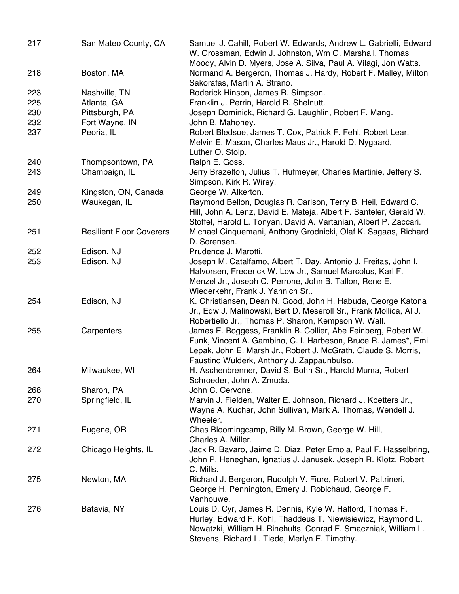| 217 | San Mateo County, CA            | Samuel J. Cahill, Robert W. Edwards, Andrew L. Gabrielli, Edward<br>W. Grossman, Edwin J. Johnston, Wm G. Marshall, Thomas                                                                                                                        |
|-----|---------------------------------|---------------------------------------------------------------------------------------------------------------------------------------------------------------------------------------------------------------------------------------------------|
| 218 | Boston, MA                      | Moody, Alvin D. Myers, Jose A. Silva, Paul A. Vilagi, Jon Watts.<br>Normand A. Bergeron, Thomas J. Hardy, Robert F. Malley, Milton<br>Sakorafas, Martin A. Strano.                                                                                |
| 223 | Nashville, TN                   | Roderick Hinson, James R. Simpson.                                                                                                                                                                                                                |
| 225 | Atlanta, GA                     | Franklin J. Perrin, Harold R. Shelnutt.                                                                                                                                                                                                           |
| 230 | Pittsburgh, PA                  | Joseph Dominick, Richard G. Laughlin, Robert F. Mang.                                                                                                                                                                                             |
| 232 | Fort Wayne, IN                  | John B. Mahoney.                                                                                                                                                                                                                                  |
| 237 | Peoria, IL                      | Robert Bledsoe, James T. Cox, Patrick F. Fehl, Robert Lear,                                                                                                                                                                                       |
|     |                                 | Melvin E. Mason, Charles Maus Jr., Harold D. Nygaard,<br>Luther O. Stolp.                                                                                                                                                                         |
| 240 | Thompsontown, PA                | Ralph E. Goss.                                                                                                                                                                                                                                    |
| 243 | Champaign, IL                   | Jerry Brazelton, Julius T. Hufmeyer, Charles Martinie, Jeffery S.<br>Simpson, Kirk R. Wirey.                                                                                                                                                      |
| 249 | Kingston, ON, Canada            | George W. Alkerton.                                                                                                                                                                                                                               |
| 250 | Waukegan, IL                    | Raymond Bellon, Douglas R. Carlson, Terry B. Heil, Edward C.<br>Hill, John A. Lenz, David E. Mateja, Albert F. Santeler, Gerald W.<br>Stoffel, Harold L. Tonyan, David A. Vartanian, Albert P. Zaccari.                                           |
| 251 | <b>Resilient Floor Coverers</b> | Michael Cinquemani, Anthony Grodnicki, Olaf K. Sagaas, Richard<br>D. Sorensen.                                                                                                                                                                    |
| 252 | Edison, NJ                      | Prudence J. Marotti.                                                                                                                                                                                                                              |
| 253 | Edison, NJ                      | Joseph M. Catalfamo, Albert T. Day, Antonio J. Freitas, John I.<br>Halvorsen, Frederick W. Low Jr., Samuel Marcolus, Karl F.<br>Menzel Jr., Joseph C. Perrone, John B. Tallon, Rene E.<br>Wiederkehr, Frank J. Yannich Sr                         |
| 254 | Edison, NJ                      | K. Christiansen, Dean N. Good, John H. Habuda, George Katona<br>Jr., Edw J. Malinowski, Bert D. Meseroll Sr., Frank Mollica, Al J.<br>Robertiello Jr., Thomas P. Sharon, Kempson W. Wall.                                                         |
| 255 | Carpenters                      | James E. Boggess, Franklin B. Collier, Abe Feinberg, Robert W.<br>Funk, Vincent A. Gambino, C. I. Harbeson, Bruce R. James*, Emil<br>Lepak, John E. Marsh Jr., Robert J. McGrath, Claude S. Morris,<br>Faustino Wulderk, Anthony J. Zappaunbulso. |
| 264 | Milwaukee, WI                   | H. Aschenbrenner, David S. Bohn Sr., Harold Muma, Robert<br>Schroeder, John A. Zmuda.                                                                                                                                                             |
| 268 | Sharon, PA                      | John C. Cervone.                                                                                                                                                                                                                                  |
| 270 | Springfield, IL                 | Marvin J. Fielden, Walter E. Johnson, Richard J. Koetters Jr.,<br>Wayne A. Kuchar, John Sullivan, Mark A. Thomas, Wendell J.<br>Wheeler.                                                                                                          |
| 271 | Eugene, OR                      | Chas Bloomingcamp, Billy M. Brown, George W. Hill,<br>Charles A. Miller.                                                                                                                                                                          |
| 272 | Chicago Heights, IL             | Jack R. Bavaro, Jaime D. Diaz, Peter Emola, Paul F. Hasselbring,<br>John P. Heneghan, Ignatius J. Janusek, Joseph R. Klotz, Robert<br>C. Mills.                                                                                                   |
| 275 | Newton, MA                      | Richard J. Bergeron, Rudolph V. Fiore, Robert V. Paltrineri,<br>George H. Pennington, Emery J. Robichaud, George F.<br>Vanhouwe.                                                                                                                  |
| 276 | Batavia, NY                     | Louis D. Cyr, James R. Dennis, Kyle W. Halford, Thomas F.<br>Hurley, Edward F. Kohl, Thaddeus T. Niewisiewicz, Raymond L.<br>Nowatzki, William H. Rinehults, Conrad F. Smaczniak, William L.<br>Stevens, Richard L. Tiede, Merlyn E. Timothy.     |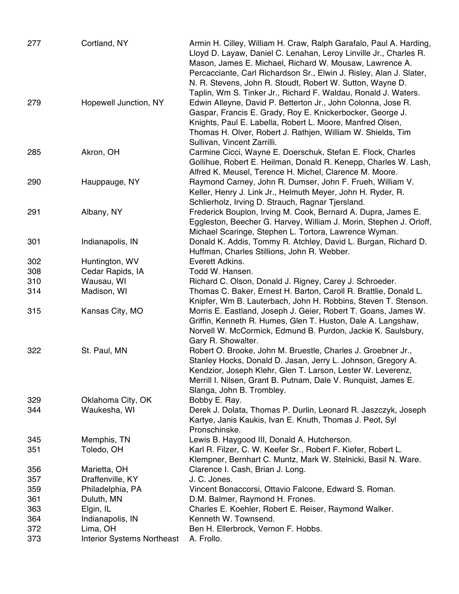| 277 | Cortland, NY                      | Armin H. Cilley, William H. Craw, Ralph Garafalo, Paul A. Harding,<br>Lloyd D. Layaw, Daniel C. Lenahan, Leroy Linville Jr., Charles R.<br>Mason, James E. Michael, Richard W. Mousaw, Lawrence A.<br>Percacciante, Carl Richardson Sr., Elwin J. Risley, Alan J. Slater,<br>N. R. Stevens, John R. Stoudt, Robert W. Sutton, Wayne D.<br>Taplin, Wm S. Tinker Jr., Richard F. Waldau, Ronald J. Waters. |
|-----|-----------------------------------|----------------------------------------------------------------------------------------------------------------------------------------------------------------------------------------------------------------------------------------------------------------------------------------------------------------------------------------------------------------------------------------------------------|
| 279 | Hopewell Junction, NY             | Edwin Alleyne, David P. Betterton Jr., John Colonna, Jose R.<br>Gaspar, Francis E. Grady, Roy E. Knickerbocker, George J.<br>Knights, Paul E. Labella, Robert L. Moore, Manfred Olsen,<br>Thomas H. Olver, Robert J. Rathjen, William W. Shields, Tim<br>Sullivan, Vincent Zarrilli.                                                                                                                     |
| 285 | Akron, OH                         | Carmine Cicci, Wayne E. Doerschuk, Stefan E. Flock, Charles<br>Gollihue, Robert E. Heilman, Donald R. Kenepp, Charles W. Lash,<br>Alfred K. Meusel, Terence H. Michel, Clarence M. Moore.                                                                                                                                                                                                                |
| 290 | Hauppauge, NY                     | Raymond Carney, John R. Dumser, John F. Frueh, William V.<br>Keller, Henry J. Link Jr., Helmuth Meyer, John H. Ryder, R.<br>Schlierholz, Irving D. Strauch, Ragnar Tjersland.                                                                                                                                                                                                                            |
| 291 | Albany, NY                        | Frederick Bouplon, Irving M. Cook, Bernard A. Dupra, James E.<br>Eggleston, Beecher G. Harvey, William J. Morin, Stephen J. Orloff,<br>Michael Scaringe, Stephen L. Tortora, Lawrence Wyman.                                                                                                                                                                                                             |
| 301 | Indianapolis, IN                  | Donald K. Addis, Tommy R. Atchley, David L. Burgan, Richard D.<br>Huffman, Charles Stillions, John R. Webber.                                                                                                                                                                                                                                                                                            |
| 302 | Huntington, WV                    | Everett Adkins.                                                                                                                                                                                                                                                                                                                                                                                          |
| 308 | Cedar Rapids, IA                  | Todd W. Hansen.                                                                                                                                                                                                                                                                                                                                                                                          |
| 310 | Wausau, WI                        | Richard C. Olson, Donald J. Rigney, Carey J. Schroeder.                                                                                                                                                                                                                                                                                                                                                  |
| 314 | Madison, WI                       | Thomas C. Baker, Ernest H. Barton, Caroll R. Brattlie, Donald L.                                                                                                                                                                                                                                                                                                                                         |
| 315 | Kansas City, MO                   | Knipfer, Wm B. Lauterbach, John H. Robbins, Steven T. Stenson.<br>Morris E. Eastland, Joseph J. Geier, Robert T. Goans, James W.<br>Griffin, Kenneth R. Humes, Glen T. Huston, Dale A. Langshaw,                                                                                                                                                                                                         |
| 322 | St. Paul, MN                      | Norvell W. McCormick, Edmund B. Purdon, Jackie K. Saulsbury,<br>Gary R. Showalter.<br>Robert O. Brooke, John M. Bruestle, Charles J. Groebner Jr.,                                                                                                                                                                                                                                                       |
|     |                                   | Stanley Hocks, Donald D. Jasan, Jerry L. Johnson, Gregory A.<br>Kendzior, Joseph Klehr, Glen T. Larson, Lester W. Leverenz,<br>Merrill I. Nilsen, Grant B. Putnam, Dale V. Runquist, James E.<br>Slanga, John B. Trombley.                                                                                                                                                                               |
| 329 | Oklahoma City, OK                 | Bobby E. Ray.                                                                                                                                                                                                                                                                                                                                                                                            |
| 344 | Waukesha, WI                      | Derek J. Dolata, Thomas P. Durlin, Leonard R. Jaszczyk, Joseph<br>Kartye, Janis Kaukis, Ivan E. Knuth, Thomas J. Peot, Syl<br>Pronschinske.                                                                                                                                                                                                                                                              |
| 345 | Memphis, TN                       | Lewis B. Haygood III, Donald A. Hutcherson.                                                                                                                                                                                                                                                                                                                                                              |
| 351 | Toledo, OH                        | Karl R. Filzer, C. W. Keefer Sr., Robert F. Kiefer, Robert L.<br>Klempner, Bernhart C. Muntz, Mark W. Stelnicki, Basil N. Ware.                                                                                                                                                                                                                                                                          |
| 356 | Marietta, OH                      | Clarence I. Cash, Brian J. Long.                                                                                                                                                                                                                                                                                                                                                                         |
| 357 | Draffenville, KY                  | J. C. Jones.                                                                                                                                                                                                                                                                                                                                                                                             |
| 359 | Philadelphia, PA                  | Vincent Bonaccorsi, Ottavio Falcone, Edward S. Roman.                                                                                                                                                                                                                                                                                                                                                    |
| 361 | Duluth, MN                        | D.M. Balmer, Raymond H. Frones.                                                                                                                                                                                                                                                                                                                                                                          |
| 363 | Elgin, IL                         | Charles E. Koehler, Robert E. Reiser, Raymond Walker.                                                                                                                                                                                                                                                                                                                                                    |
| 364 | Indianapolis, IN                  | Kenneth W. Townsend.                                                                                                                                                                                                                                                                                                                                                                                     |
| 372 | Lima, OH                          | Ben H. Ellerbrock, Vernon F. Hobbs.                                                                                                                                                                                                                                                                                                                                                                      |
| 373 | <b>Interior Systems Northeast</b> | A. Frollo.                                                                                                                                                                                                                                                                                                                                                                                               |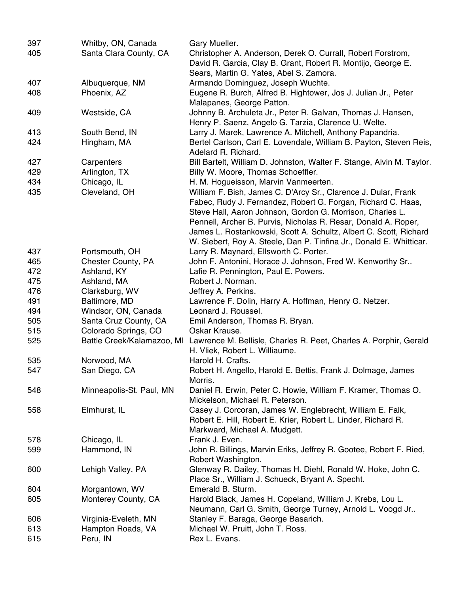| 397 | Whitby, ON, Canada         | Gary Mueller.                                                         |
|-----|----------------------------|-----------------------------------------------------------------------|
| 405 | Santa Clara County, CA     | Christopher A. Anderson, Derek O. Currall, Robert Forstrom,           |
|     |                            | David R. Garcia, Clay B. Grant, Robert R. Montijo, George E.          |
|     |                            | Sears, Martin G. Yates, Abel S. Zamora.                               |
| 407 | Albuquerque, NM            | Armando Dominguez, Joseph Wuchte.                                     |
| 408 | Phoenix, AZ                | Eugene R. Burch, Alfred B. Hightower, Jos J. Julian Jr., Peter        |
|     |                            | Malapanes, George Patton.                                             |
| 409 | Westside, CA               | Johnny B. Archuleta Jr., Peter R. Galvan, Thomas J. Hansen,           |
|     |                            | Henry P. Saenz, Angelo G. Tarzia, Clarence U. Welte.                  |
| 413 | South Bend, IN             | Larry J. Marek, Lawrence A. Mitchell, Anthony Papandria.              |
| 424 | Hingham, MA                | Bertel Carlson, Carl E. Lovendale, William B. Payton, Steven Reis,    |
|     |                            | Adelard R. Richard.                                                   |
| 427 | Carpenters                 | Bill Bartelt, William D. Johnston, Walter F. Stange, Alvin M. Taylor. |
| 429 | Arlington, TX              | Billy W. Moore, Thomas Schoeffler.                                    |
| 434 | Chicago, IL                | H. M. Hogueisson, Marvin Vanmeerten.                                  |
| 435 | Cleveland, OH              | William F. Bish, James C. D'Arcy Sr., Clarence J. Dular, Frank        |
|     |                            | Fabec, Rudy J. Fernandez, Robert G. Forgan, Richard C. Haas,          |
|     |                            | Steve Hall, Aaron Johnson, Gordon G. Morrison, Charles L.             |
|     |                            | Pennell, Archer B. Purvis, Nicholas R. Resar, Donald A. Roper,        |
|     |                            | James L. Rostankowski, Scott A. Schultz, Albert C. Scott, Richard     |
|     |                            | W. Siebert, Roy A. Steele, Dan P. Tinfina Jr., Donald E. Whitticar.   |
| 437 | Portsmouth, OH             | Larry R. Maynard, Ellsworth C. Porter.                                |
| 465 | Chester County, PA         | John F. Antonini, Horace J. Johnson, Fred W. Kenworthy Sr             |
| 472 | Ashland, KY                | Lafie R. Pennington, Paul E. Powers.                                  |
| 475 | Ashland, MA                | Robert J. Norman.                                                     |
| 476 | Clarksburg, WV             | Jeffrey A. Perkins.                                                   |
| 491 | Baltimore, MD              | Lawrence F. Dolin, Harry A. Hoffman, Henry G. Netzer.                 |
| 494 | Windsor, ON, Canada        | Leonard J. Roussel.                                                   |
| 505 | Santa Cruz County, CA      | Emil Anderson, Thomas R. Bryan.                                       |
| 515 | Colorado Springs, CO       | Oskar Krause.                                                         |
| 525 | Battle Creek/Kalamazoo, MI | Lawrence M. Bellisle, Charles R. Peet, Charles A. Porphir, Gerald     |
|     |                            | H. Vliek, Robert L. Williaume.                                        |
| 535 | Norwood, MA                | Harold H. Crafts.                                                     |
| 547 | San Diego, CA              | Robert H. Angello, Harold E. Bettis, Frank J. Dolmage, James          |
|     |                            | Morris.                                                               |
| 548 | Minneapolis-St. Paul, MN   | Daniel R. Erwin, Peter C. Howie, William F. Kramer, Thomas O.         |
|     |                            | Mickelson, Michael R. Peterson.                                       |
| 558 | Elmhurst, IL               | Casey J. Corcoran, James W. Englebrecht, William E. Falk,             |
|     |                            | Robert E. Hill, Robert E. Krier, Robert L. Linder, Richard R.         |
|     |                            | Markward, Michael A. Mudgett.                                         |
| 578 | Chicago, IL                | Frank J. Even.                                                        |
| 599 | Hammond, IN                | John R. Billings, Marvin Eriks, Jeffrey R. Gootee, Robert F. Ried,    |
|     |                            | Robert Washington.                                                    |
| 600 | Lehigh Valley, PA          | Glenway R. Dailey, Thomas H. Diehl, Ronald W. Hoke, John C.           |
|     |                            | Place Sr., William J. Schueck, Bryant A. Specht.                      |
| 604 | Morgantown, WV             | Emerald B. Sturm.                                                     |
| 605 | Monterey County, CA        | Harold Black, James H. Copeland, William J. Krebs, Lou L.             |
|     |                            | Neumann, Carl G. Smith, George Turney, Arnold L. Voogd Jr             |
| 606 | Virginia-Eveleth, MN       | Stanley F. Baraga, George Basarich.                                   |
| 613 | Hampton Roads, VA          | Michael W. Pruitt, John T. Ross.                                      |
| 615 | Peru, IN                   | Rex L. Evans.                                                         |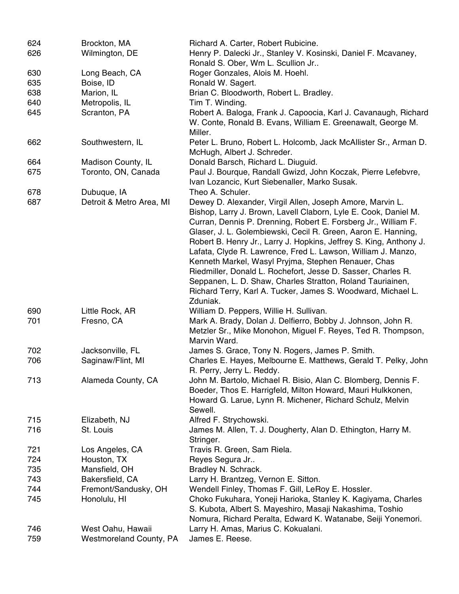| 624        | Brockton, MA                                 | Richard A. Carter, Robert Rubicine.                                                                                                                                                                                                                                                                                                                                                                                                                                                                                                                                                                                                                                    |
|------------|----------------------------------------------|------------------------------------------------------------------------------------------------------------------------------------------------------------------------------------------------------------------------------------------------------------------------------------------------------------------------------------------------------------------------------------------------------------------------------------------------------------------------------------------------------------------------------------------------------------------------------------------------------------------------------------------------------------------------|
| 626        | Wilmington, DE                               | Henry P. Dalecki Jr., Stanley V. Kosinski, Daniel F. Mcavaney,                                                                                                                                                                                                                                                                                                                                                                                                                                                                                                                                                                                                         |
|            |                                              | Ronald S. Ober, Wm L. Scullion Jr                                                                                                                                                                                                                                                                                                                                                                                                                                                                                                                                                                                                                                      |
| 630        | Long Beach, CA                               | Roger Gonzales, Alois M. Hoehl.                                                                                                                                                                                                                                                                                                                                                                                                                                                                                                                                                                                                                                        |
| 635        | Boise, ID                                    | Ronald W. Sagert.                                                                                                                                                                                                                                                                                                                                                                                                                                                                                                                                                                                                                                                      |
| 638        | Marion, IL                                   | Brian C. Bloodworth, Robert L. Bradley.                                                                                                                                                                                                                                                                                                                                                                                                                                                                                                                                                                                                                                |
| 640        | Metropolis, IL                               | Tim T. Winding.                                                                                                                                                                                                                                                                                                                                                                                                                                                                                                                                                                                                                                                        |
| 645        | Scranton, PA                                 | Robert A. Baloga, Frank J. Capoocia, Karl J. Cavanaugh, Richard<br>W. Conte, Ronald B. Evans, William E. Greenawalt, George M.<br>Miller.                                                                                                                                                                                                                                                                                                                                                                                                                                                                                                                              |
| 662        | Southwestern, IL                             | Peter L. Bruno, Robert L. Holcomb, Jack McAllister Sr., Arman D.<br>McHugh, Albert J. Schreder.                                                                                                                                                                                                                                                                                                                                                                                                                                                                                                                                                                        |
| 664        | Madison County, IL                           | Donald Barsch, Richard L. Diuguid.                                                                                                                                                                                                                                                                                                                                                                                                                                                                                                                                                                                                                                     |
| 675        | Toronto, ON, Canada                          | Paul J. Bourque, Randall Gwizd, John Koczak, Pierre Lefebvre,<br>Ivan Lozancic, Kurt Siebenaller, Marko Susak.                                                                                                                                                                                                                                                                                                                                                                                                                                                                                                                                                         |
| 678        | Dubuque, IA                                  | Theo A. Schuler.                                                                                                                                                                                                                                                                                                                                                                                                                                                                                                                                                                                                                                                       |
| 687        | Detroit & Metro Area, MI                     | Dewey D. Alexander, Virgil Allen, Joseph Amore, Marvin L.<br>Bishop, Larry J. Brown, Lavell Claborn, Lyle E. Cook, Daniel M.<br>Curran, Dennis P. Drenning, Robert E. Forsberg Jr., William F.<br>Glaser, J. L. Golembiewski, Cecil R. Green, Aaron E. Hanning,<br>Robert B. Henry Jr., Larry J. Hopkins, Jeffrey S. King, Anthony J.<br>Lafata, Clyde R. Lawrence, Fred L. Lawson, William J. Manzo,<br>Kenneth Markel, Wasyl Pryjma, Stephen Renauer, Chas<br>Riedmiller, Donald L. Rochefort, Jesse D. Sasser, Charles R.<br>Seppanen, L. D. Shaw, Charles Stratton, Roland Tauriainen,<br>Richard Terry, Karl A. Tucker, James S. Woodward, Michael L.<br>Zduniak. |
| 690        | Little Rock, AR                              | William D. Peppers, Willie H. Sullivan.                                                                                                                                                                                                                                                                                                                                                                                                                                                                                                                                                                                                                                |
| 701        | Fresno, CA                                   | Mark A. Brady, Dolan J. Delfierro, Bobby J. Johnson, John R.<br>Metzler Sr., Mike Monohon, Miguel F. Reyes, Ted R. Thompson,<br>Marvin Ward.                                                                                                                                                                                                                                                                                                                                                                                                                                                                                                                           |
| 702        | Jacksonville, FL                             | James S. Grace, Tony N. Rogers, James P. Smith.                                                                                                                                                                                                                                                                                                                                                                                                                                                                                                                                                                                                                        |
| 706        | Saginaw/Flint, MI                            | Charles E. Hayes, Melbourne E. Matthews, Gerald T. Pelky, John<br>R. Perry, Jerry L. Reddy.                                                                                                                                                                                                                                                                                                                                                                                                                                                                                                                                                                            |
| 713        | Alameda County, CA                           | John M. Bartolo, Michael R. Bisio, Alan C. Blomberg, Dennis F.<br>Boeder, Thos E. Harrigfeld, Milton Howard, Mauri Hulkkonen,<br>Howard G. Larue, Lynn R. Michener, Richard Schulz, Melvin<br>Sewell.                                                                                                                                                                                                                                                                                                                                                                                                                                                                  |
| 715        | Elizabeth, NJ                                | Alfred F. Strychowski.                                                                                                                                                                                                                                                                                                                                                                                                                                                                                                                                                                                                                                                 |
| 716        | St. Louis                                    | James M. Allen, T. J. Dougherty, Alan D. Ethington, Harry M.<br>Stringer.                                                                                                                                                                                                                                                                                                                                                                                                                                                                                                                                                                                              |
| 721        | Los Angeles, CA                              | Travis R. Green, Sam Riela.                                                                                                                                                                                                                                                                                                                                                                                                                                                                                                                                                                                                                                            |
| 724        | Houston, TX                                  | Reyes Segura Jr                                                                                                                                                                                                                                                                                                                                                                                                                                                                                                                                                                                                                                                        |
| 735        | Mansfield, OH                                | Bradley N. Schrack.                                                                                                                                                                                                                                                                                                                                                                                                                                                                                                                                                                                                                                                    |
| 743        | Bakersfield, CA                              | Larry H. Brantzeg, Vernon E. Sitton.                                                                                                                                                                                                                                                                                                                                                                                                                                                                                                                                                                                                                                   |
| 744        | Fremont/Sandusky, OH                         | Wendell Finley, Thomas F. Gill, LeRoy E. Hossler.                                                                                                                                                                                                                                                                                                                                                                                                                                                                                                                                                                                                                      |
| 745        | Honolulu, HI                                 | Choko Fukuhara, Yoneji Harioka, Stanley K. Kagiyama, Charles<br>S. Kubota, Albert S. Mayeshiro, Masaji Nakashima, Toshio<br>Nomura, Richard Peralta, Edward K. Watanabe, Seiji Yonemori.                                                                                                                                                                                                                                                                                                                                                                                                                                                                               |
| 746<br>759 | West Oahu, Hawaii<br>Westmoreland County, PA | Larry H. Amas, Marius C. Kokualani.<br>James E. Reese.                                                                                                                                                                                                                                                                                                                                                                                                                                                                                                                                                                                                                 |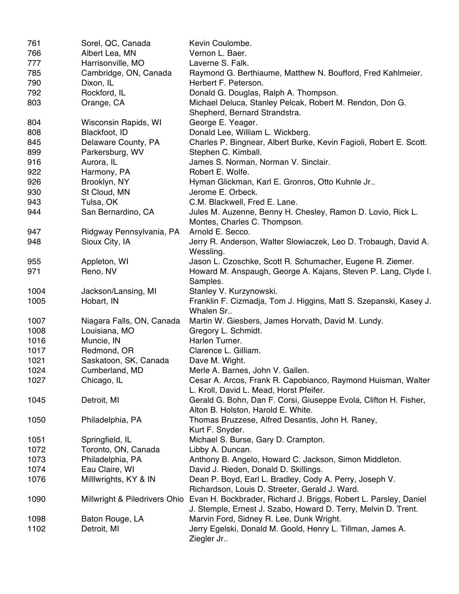| 761  | Sorel, QC, Canada             | Kevin Coulombe.                                                                                                    |
|------|-------------------------------|--------------------------------------------------------------------------------------------------------------------|
| 766  | Albert Lea, MN                | Vernon L. Baer.                                                                                                    |
| 777  | Harrisonville, MO             | Laverne S. Falk.                                                                                                   |
| 785  | Cambridge, ON, Canada         | Raymond G. Berthiaume, Matthew N. Boufford, Fred Kahlmeier.                                                        |
| 790  | Dixon, IL                     | Herbert F. Peterson.                                                                                               |
| 792  | Rockford, IL                  | Donald G. Douglas, Ralph A. Thompson.                                                                              |
| 803  | Orange, CA                    | Michael Deluca, Stanley Pelcak, Robert M. Rendon, Don G.                                                           |
|      |                               | Shepherd, Bernard Strandstra.                                                                                      |
| 804  | Wisconsin Rapids, WI          | George E. Yeager.                                                                                                  |
| 808  | Blackfoot, ID                 | Donald Lee, William L. Wickberg.                                                                                   |
| 845  | Delaware County, PA           | Charles P. Bingnear, Albert Burke, Kevin Fagioli, Robert E. Scott.                                                 |
| 899  | Parkersburg, WV               | Stephen C. Kimball.                                                                                                |
| 916  | Aurora, IL                    | James S. Norman, Norman V. Sinclair.                                                                               |
| 922  | Harmony, PA                   | Robert E. Wolfe.                                                                                                   |
| 926  | Brooklyn, NY                  | Hyman Glickman, Karl E. Gronros, Otto Kuhnle Jr                                                                    |
| 930  | St Cloud, MN                  | Jerome E. Orbeck.                                                                                                  |
| 943  | Tulsa, OK                     | C.M. Blackwell, Fred E. Lane.                                                                                      |
|      | San Bernardino, CA            |                                                                                                                    |
| 944  |                               | Jules M. Auzenne, Benny H. Chesley, Ramon D. Lovio, Rick L.<br>Montes, Charles C. Thompson.                        |
| 947  | Ridgway Pennsylvania, PA      | Arnold E. Secco.                                                                                                   |
| 948  | Sioux City, IA                | Jerry R. Anderson, Walter Slowiaczek, Leo D. Trobaugh, David A.                                                    |
|      |                               | Wessling.                                                                                                          |
| 955  | Appleton, WI                  | Jason L. Czoschke, Scott R. Schumacher, Eugene R. Ziemer.                                                          |
| 971  | Reno, NV                      | Howard M. Anspaugh, George A. Kajans, Steven P. Lang, Clyde I.                                                     |
|      |                               | Samples.                                                                                                           |
| 1004 | Jackson/Lansing, MI           | Stanley V. Kurzynowski.                                                                                            |
| 1005 | Hobart, IN                    | Franklin F. Cizmadja, Tom J. Higgins, Matt S. Szepanski, Kasey J.                                                  |
|      |                               | Whalen Sr                                                                                                          |
| 1007 | Niagara Falls, ON, Canada     | Martin W. Giesbers, James Horvath, David M. Lundy.                                                                 |
| 1008 | Louisiana, MO                 | Gregory L. Schmidt.                                                                                                |
| 1016 | Muncie, IN                    | Harlen Turner.                                                                                                     |
| 1017 | Redmond, OR                   | Clarence L. Gilliam.                                                                                               |
| 1021 | Saskatoon, SK, Canada         | Dave M. Wight.                                                                                                     |
| 1024 | Cumberland, MD                | Merle A. Barnes, John V. Gallen.                                                                                   |
| 1027 | Chicago, IL                   | Cesar A. Arcos, Frank R. Capobianco, Raymond Huisman, Walter                                                       |
|      |                               | L. Kroll, David L. Mead, Horst Pfeifer.                                                                            |
| 1045 | Detroit, MI                   | Gerald G. Bohn, Dan F. Corsi, Giuseppe Evola, Clifton H. Fisher,                                                   |
|      |                               | Alton B. Holston, Harold E. White.                                                                                 |
| 1050 | Philadelphia, PA              | Thomas Bruzzese, Alfred Desantis, John H. Raney,                                                                   |
|      |                               | Kurt F. Snyder.                                                                                                    |
| 1051 | Springfield, IL               | Michael S. Burse, Gary D. Crampton.                                                                                |
| 1072 | Toronto, ON, Canada           | Libby A. Duncan.                                                                                                   |
| 1073 | Philadelphia, PA              | Anthony B. Angelo, Howard C. Jackson, Simon Middleton.                                                             |
| 1074 | Eau Claire, WI                | David J. Rieden, Donald D. Skillings.                                                                              |
| 1076 | Milllwrights, KY & IN         | Dean P. Boyd, Earl L. Bradley, Cody A. Perry, Joseph V.                                                            |
|      |                               |                                                                                                                    |
|      |                               | Richardson, Louis D. Streeter, Gerald J. Ward.<br>Evan H. Bockbrader, Richard J. Briggs, Robert L. Parsley, Daniel |
| 1090 | Millwright & Piledrivers Ohio |                                                                                                                    |
|      |                               | J. Stemple, Ernest J. Szabo, Howard D. Terry, Melvin D. Trent.                                                     |
| 1098 | Baton Rouge, LA               | Marvin Ford, Sidney R. Lee, Dunk Wright.                                                                           |
| 1102 | Detroit, MI                   | Jerry Egelski, Donald M. Goold, Henry L. Tillman, James A.                                                         |
|      |                               | Ziegler Jr                                                                                                         |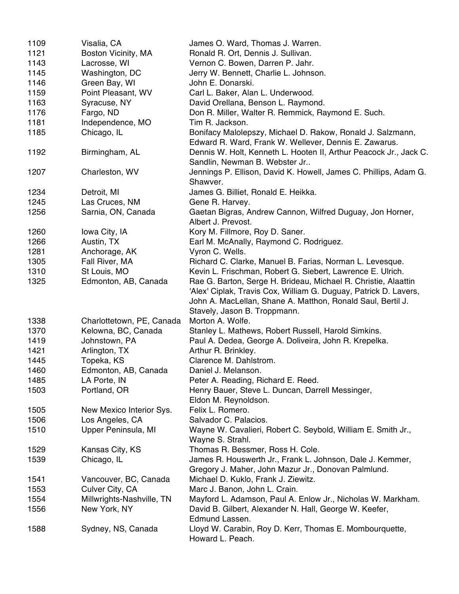| 1109 | Visalia, CA               | James O. Ward, Thomas J. Warren.                                                                                                                                                                                                  |
|------|---------------------------|-----------------------------------------------------------------------------------------------------------------------------------------------------------------------------------------------------------------------------------|
| 1121 | Boston Vicinity, MA       | Ronald R. Ort, Dennis J. Sullivan.                                                                                                                                                                                                |
| 1143 | Lacrosse, WI              | Vernon C. Bowen, Darren P. Jahr.                                                                                                                                                                                                  |
| 1145 | Washington, DC            | Jerry W. Bennett, Charlie L. Johnson.                                                                                                                                                                                             |
| 1146 | Green Bay, WI             | John E. Donarski.                                                                                                                                                                                                                 |
| 1159 | Point Pleasant, WV        | Carl L. Baker, Alan L. Underwood.                                                                                                                                                                                                 |
| 1163 | Syracuse, NY              | David Orellana, Benson L. Raymond.                                                                                                                                                                                                |
| 1176 | Fargo, ND                 | Don R. Miller, Walter R. Remmick, Raymond E. Such.                                                                                                                                                                                |
| 1181 | Independence, MO          | Tim R. Jackson.                                                                                                                                                                                                                   |
| 1185 | Chicago, IL               | Bonifacy Malolepszy, Michael D. Rakow, Ronald J. Salzmann,                                                                                                                                                                        |
|      |                           | Edward R. Ward, Frank W. Wellever, Dennis E. Zawarus.                                                                                                                                                                             |
| 1192 | Birmingham, AL            | Dennis W. Holt, Kenneth L. Hooten II, Arthur Peacock Jr., Jack C.<br>Sandlin, Newman B. Webster Jr                                                                                                                                |
| 1207 | Charleston, WV            | Jennings P. Ellison, David K. Howell, James C. Phillips, Adam G.<br>Shawver.                                                                                                                                                      |
| 1234 | Detroit, MI               | James G. Billiet, Ronald E. Heikka.                                                                                                                                                                                               |
| 1245 | Las Cruces, NM            | Gene R. Harvey.                                                                                                                                                                                                                   |
| 1256 | Sarnia, ON, Canada        | Gaetan Bigras, Andrew Cannon, Wilfred Duguay, Jon Horner,<br>Albert J. Prevost.                                                                                                                                                   |
| 1260 | Iowa City, IA             | Kory M. Fillmore, Roy D. Saner.                                                                                                                                                                                                   |
| 1266 | Austin, TX                | Earl M. McAnally, Raymond C. Rodriguez.                                                                                                                                                                                           |
| 1281 | Anchorage, AK             | Vyron C. Wells.                                                                                                                                                                                                                   |
| 1305 | Fall River, MA            | Richard C. Clarke, Manuel B. Farias, Norman L. Levesque.                                                                                                                                                                          |
| 1310 | St Louis, MO              | Kevin L. Frischman, Robert G. Siebert, Lawrence E. Ulrich.                                                                                                                                                                        |
| 1325 | Edmonton, AB, Canada      | Rae G. Barton, Serge H. Brideau, Michael R. Christie, Alaattin<br>'Alex' Ciplak, Travis Cox, William G. Duguay, Patrick D. Lavers,<br>John A. MacLellan, Shane A. Matthon, Ronald Saul, Bertil J.<br>Stavely, Jason B. Troppmann. |
| 1338 | Charlottetown, PE, Canada | Morton A. Wolfe.                                                                                                                                                                                                                  |
| 1370 | Kelowna, BC, Canada       | Stanley L. Mathews, Robert Russell, Harold Simkins.                                                                                                                                                                               |
| 1419 | Johnstown, PA             | Paul A. Dedea, George A. Doliveira, John R. Krepelka.                                                                                                                                                                             |
| 1421 | Arlington, TX             | Arthur R. Brinkley.                                                                                                                                                                                                               |
| 1445 | Topeka, KS                | Clarence M. Dahlstrom.                                                                                                                                                                                                            |
| 1460 | Edmonton, AB, Canada      | Daniel J. Melanson.                                                                                                                                                                                                               |
|      | LA Porte, IN              | Peter A. Reading, Richard E. Reed.                                                                                                                                                                                                |
| 1485 |                           |                                                                                                                                                                                                                                   |
| 1503 | Portland, OR              | Henry Bauer, Steve L. Duncan, Darrell Messinger,<br>Eldon M. Reynoldson.                                                                                                                                                          |
| 1505 | New Mexico Interior Sys.  | Felix L. Romero.                                                                                                                                                                                                                  |
| 1506 | Los Angeles, CA           | Salvador C. Palacios.                                                                                                                                                                                                             |
| 1510 | Upper Peninsula, MI       | Wayne W. Cavalieri, Robert C. Seybold, William E. Smith Jr.,<br>Wayne S. Strahl.                                                                                                                                                  |
| 1529 | Kansas City, KS           | Thomas R. Bessmer, Ross H. Cole.                                                                                                                                                                                                  |
| 1539 | Chicago, IL               | James R. Houswerth Jr., Frank L. Johnson, Dale J. Kemmer,                                                                                                                                                                         |
|      |                           | Gregory J. Maher, John Mazur Jr., Donovan Palmlund.                                                                                                                                                                               |
| 1541 | Vancouver, BC, Canada     | Michael D. Kuklo, Frank J. Ziewitz.                                                                                                                                                                                               |
| 1553 | Culver City, CA           | Marc J. Banon, John L. Crain.                                                                                                                                                                                                     |
| 1554 | Millwrights-Nashville, TN | Mayford L. Adamson, Paul A. Enlow Jr., Nicholas W. Markham.                                                                                                                                                                       |
| 1556 | New York, NY              | David B. Gilbert, Alexander N. Hall, George W. Keefer,                                                                                                                                                                            |
|      |                           | Edmund Lassen.                                                                                                                                                                                                                    |
| 1588 | Sydney, NS, Canada        | Lloyd W. Carabin, Roy D. Kerr, Thomas E. Mombourquette,<br>Howard L. Peach.                                                                                                                                                       |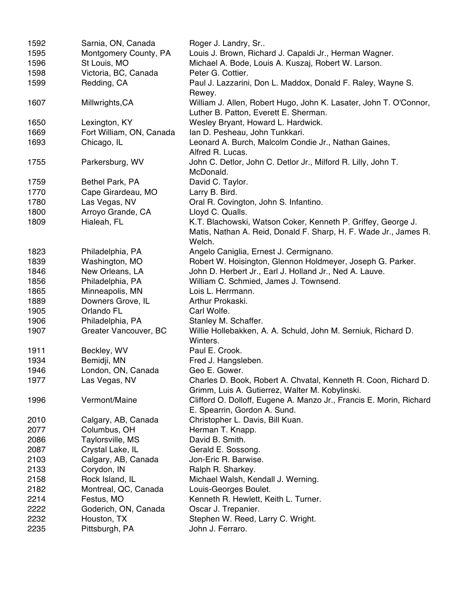| 1592 | Sarnia, ON, Canada       | Roger J. Landry, Sr                                                                                                |
|------|--------------------------|--------------------------------------------------------------------------------------------------------------------|
| 1595 | Montgomery County, PA    | Louis J. Brown, Richard J. Capaldi Jr., Herman Wagner.                                                             |
| 1596 | St Louis, MO             | Michael A. Bode, Louis A. Kuszaj, Robert W. Larson.                                                                |
| 1598 | Victoria, BC, Canada     | Peter G. Cottier.                                                                                                  |
| 1599 | Redding, CA              | Paul J. Lazzarini, Don L. Maddox, Donald F. Raley, Wayne S.<br>Rewey.                                              |
| 1607 | Millwrights, CA          | William J. Allen, Robert Hugo, John K. Lasater, John T. O'Connor,<br>Luther B. Patton, Everett E. Sherman.         |
| 1650 | Lexington, KY            | Wesley Bryant, Howard L. Hardwick.                                                                                 |
| 1669 | Fort William, ON, Canada | Ian D. Pesheau, John Tunkkari.                                                                                     |
| 1693 | Chicago, IL              | Leonard A. Burch, Malcolm Condie Jr., Nathan Gaines,                                                               |
|      |                          | Alfred R. Lucas.                                                                                                   |
| 1755 | Parkersburg, WV          | John C. Detlor, John C. Detlor Jr., Milford R. Lilly, John T.<br>McDonald.                                         |
| 1759 | Bethel Park, PA          | David C. Taylor.                                                                                                   |
| 1770 | Cape Girardeau, MO       | Larry B. Bird.                                                                                                     |
| 1780 | Las Vegas, NV            | Oral R. Covington, John S. Infantino.                                                                              |
| 1800 | Arroyo Grande, CA        | Lloyd C. Qualls.                                                                                                   |
| 1809 | Hialeah, FL              | K.T. Blachowski, Watson Coker, Kenneth P. Griffey, George J.                                                       |
|      |                          | Matis, Nathan A. Reid, Donald F. Sharp, H. F. Wade Jr., James R.<br>Welch.                                         |
| 1823 | Philadelphia, PA         | Angelo Caniglia, Ernest J. Cermignano.                                                                             |
| 1839 | Washington, MO           | Robert W. Hoisington, Glennon Holdmeyer, Joseph G. Parker.                                                         |
| 1846 | New Orleans, LA          | John D. Herbert Jr., Earl J. Holland Jr., Ned A. Lauve.                                                            |
| 1856 | Philadelphia, PA         | William C. Schmied, James J. Townsend.                                                                             |
| 1865 | Minneapolis, MN          | Lois L. Herrmann.                                                                                                  |
| 1889 | Downers Grove, IL        | Arthur Prokaski.                                                                                                   |
| 1905 | Orlando FL               | Carl Wolfe.                                                                                                        |
| 1906 | Philadelphia, PA         | Stanley M. Schaffer.                                                                                               |
| 1907 | Greater Vancouver, BC    | Willie Hollebakken, A. A. Schuld, John M. Serniuk, Richard D.<br>Winters.                                          |
| 1911 | Beckley, WV              | Paul E. Crook.                                                                                                     |
| 1934 | Bemidji, MN              | Fred J. Hangsleben.                                                                                                |
| 1946 | London, ON, Canada       | Geo E. Gower.                                                                                                      |
| 1977 | Las Vegas, NV            | Charles D. Book, Robert A. Chvatal, Kenneth R. Coon, Richard D.<br>Grimm, Luis A. Gutierrez, Walter M. Kobylinski. |
| 1996 | Vermont/Maine            | Clifford O. Dolloff, Eugene A. Manzo Jr., Francis E. Morin, Richard<br>E. Spearrin, Gordon A. Sund.                |
| 2010 | Calgary, AB, Canada      | Christopher L. Davis, Bill Kuan.                                                                                   |
| 2077 | Columbus, OH             | Herman T. Knapp.                                                                                                   |
| 2086 | Taylorsville, MS         | David B. Smith.                                                                                                    |
| 2087 | Crystal Lake, IL         | Gerald E. Sossong.                                                                                                 |
| 2103 | Calgary, AB, Canada      | Jon-Eric R. Barwise.                                                                                               |
| 2133 | Corydon, IN              | Ralph R. Sharkey.                                                                                                  |
| 2158 | Rock Island, IL          | Michael Walsh, Kendall J. Werning.                                                                                 |
| 2182 | Montreal, QC, Canada     | Louis-Georges Boulet.                                                                                              |
| 2214 | Festus, MO               | Kenneth R. Hewlett, Keith L. Turner.                                                                               |
| 2222 | Goderich, ON, Canada     | Oscar J. Trepanier.                                                                                                |
| 2232 | Houston, TX              | Stephen W. Reed, Larry C. Wright.                                                                                  |
| 2235 | Pittsburgh, PA           | John J. Ferraro.                                                                                                   |